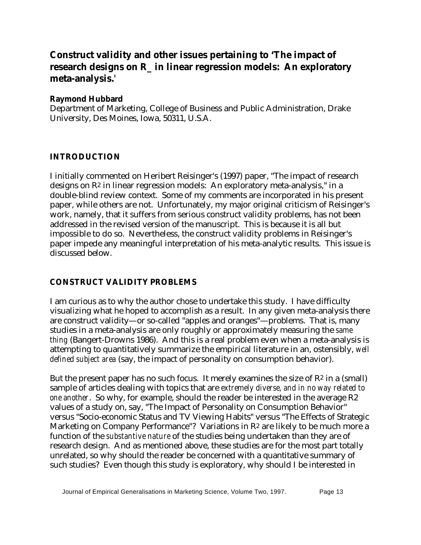# **Construct validity and other issues pertaining to 'The impact of research designs on R\_ in linear regression models: An exploratory meta-analysis.***'*

#### **Raymond Hubbard**

Department of Marketing, College of Business and Public Administration, Drake University, Des Moines, Iowa, 50311, U.S.A.

### **INTRODUCTION**

I initially commented on Heribert Reisinger's (1997) paper, "The impact of research designs on R2 in linear regression models: An exploratory meta-analysis," in a double-blind review context. Some of my comments are incorporated in his present paper, while others are not. Unfortunately, my major original criticism of Reisinger's work, namely, that it suffers from serious construct validity problems, has not been addressed in the revised version of the manuscript. This is because it is all but impossible to do so. Nevertheless, the construct validity problems in Reisinger's paper impede any meaningful interpretation of his meta-analytic results. This issue is discussed below.

### **CONSTRUCT VALIDITY PROBLEMS**

I am curious as to why the author chose to undertake this study. I have difficulty visualizing what he hoped to accomplish as a result. In any given meta-analysis there are construct validity—or so-called "apples and oranges"—problems. That is, many studies in a meta-analysis are only roughly or approximately measuring the *same thing* (Bangert-Drowns 1986). And this is a real problem even when a meta-analysis is attempting to quantitatively summarize the empirical literature in an, ostensibly, *well defined subject area* (say, the impact of personality on consumption behavior).

But the present paper has no such focus. It merely examines the size of  $\mathbb{R}^2$  in a (small) sample of articles dealing with topics that are *extremely diverse, and in no way related to one another*. So why, for example, should the reader be interested in the average R2 values of a study on, say, "The Impact of Personality on Consumption Behavior" versus "Socio-economic Status and TV Viewing Habits" versus "The Effects of Strategic Marketing on Company Performance"? Variations in R<sup>2</sup> are likely to be much more a function of the *substantive nature* of the studies being undertaken than they are of research design. And as mentioned above, these studies are for the most part totally unrelated, so why should the reader be concerned with a quantitative summary of such studies? Even though this study is exploratory, why should I be interested in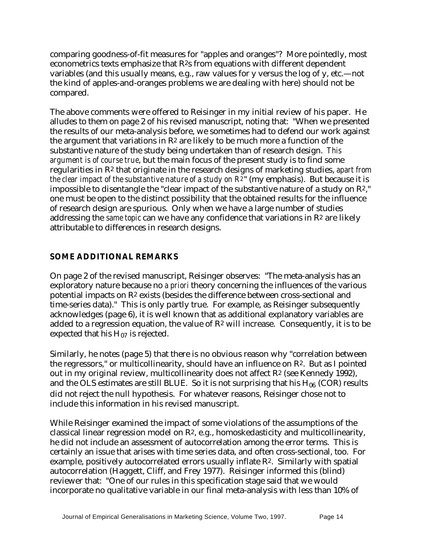comparing goodness-of-fit measures for "apples and oranges"? More pointedly, most econometrics texts emphasize that R2s from equations with different dependent variables (and this usually means, e.g., raw values for y versus the log of y, etc.—not the kind of apples-and-oranges problems we are dealing with here) should not be compared.

The above comments were offered to Reisinger in my initial review of his paper. He alludes to them on page 2 of his revised manuscript, noting that: "When we presented the results of our meta-analysis before, we sometimes had to defend our work against the argument that variations in  $\mathbb{R}^2$  are likely to be much more a function of the substantive nature of the study being undertaken than of research design. *This argument is of course true*, but the main focus of the present study is to find some regularities in R2 that originate in the research designs of marketing studies, *apart from the clear impact of the substantive nature of a study on R2*" (my emphasis). But because it is impossible to disentangle the "clear impact of the substantive nature of a study on R2," one must be open to the distinct possibility that the obtained results for the influence of research design are spurious. Only when we have a large number of studies addressing the *same topic* can we have any confidence that variations in R2 are likely attributable to differences in research designs.

## **SOME ADDITIONAL REMARKS**

On page 2 of the revised manuscript, Reisinger observes: "The meta-analysis has an exploratory nature because no *a priori* theory concerning the influences of the various potential impacts on R2 exists (besides the difference between cross-sectional and time-series data)." This is only partly true. For example, as Reisinger subsequently acknowledges (page 6), it is well known that as additional explanatory variables are added to a regression equation, the value of  $\mathbb{R}^2$  will increase. Consequently, it is to be expected that his  $H_{07}$  is rejected.

Similarly, he notes (page 5) that there is no obvious reason why "correlation between the regressors," or multicollinearity, should have an influence on R2. But as I pointed out in my original review, multicollinearity does not affect R2 (see Kennedy 1992), and the OLS estimates are still BLUE. So it is not surprising that his  $H_{06}$  (COR) results did not reject the null hypothesis. For whatever reasons, Reisinger chose not to include this information in his revised manuscript.

While Reisinger examined the impact of some violations of the assumptions of the classical linear regression model on R2, e.g., homoskedasticity and multicollinearity, he did not include an assessment of autocorrelation among the error terms. This is certainly an issue that arises with time series data, and often cross-sectional, too. For example, positively autocorrelated errors usually inflate R2. Similarly with spatial autocorrelation (Haggett, Cliff, and Frey 1977). Reisinger informed this (blind) reviewer that: "One of our rules in this specification stage said that we would incorporate no qualitative variable in our final meta-analysis with less than 10% of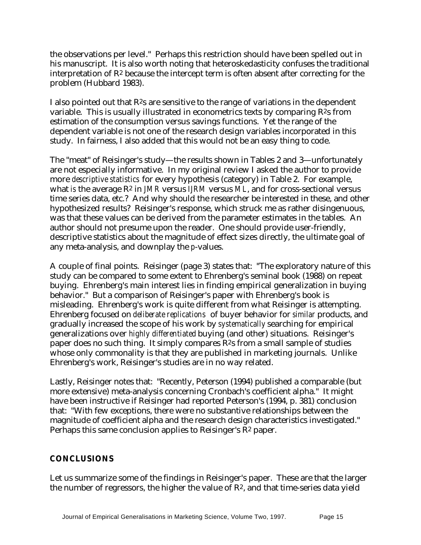the observations per level." Perhaps this restriction should have been spelled out in his manuscript. It is also worth noting that heteroskedasticity confuses the traditional interpretation of  $\mathbb{R}^2$  because the intercept term is often absent after correcting for the problem (Hubbard 1983).

I also pointed out that  $R^2s$  are sensitive to the range of variations in the dependent variable. This is usually illustrated in econometrics texts by comparing  $R^2$ s from estimation of the consumption versus savings functions. Yet the range of the dependent variable is not one of the research design variables incorporated in this study. In fairness, I also added that this would not be an easy thing to code.

The "meat" of Reisinger's study—the results shown in Tables 2 and 3—unfortunately are not especially informative. In my original review I asked the author to provide more *descriptive statistics* for every hypothesis (category) in Table 2. For example, what *is* the average R2 in *JMR* versus *IJRM* versus *ML*, and for cross-sectional versus time series data, etc.? And why should the researcher be interested in these, and other hypothesized results? Reisinger's response, which struck me as rather disingenuous, was that these values can be derived from the parameter estimates in the tables. An author should not presume upon the reader. One should provide user-friendly, descriptive statistics about the magnitude of effect sizes directly, the ultimate goal of any meta-analysis, and downplay the *p*-values.

A couple of final points. Reisinger (page 3) states that: "The exploratory nature of this study can be compared to some extent to Ehrenberg's seminal book (1988) on repeat buying. Ehrenberg's main interest lies in finding empirical generalization in buying behavior." But a comparison of Reisinger's paper with Ehrenberg's book is misleading. Ehrenberg's work is quite different from what Reisinger is attempting. Ehrenberg focused on *deliberate replications* of buyer behavior for *similar* products, and gradually increased the scope of his work by *systematically* searching for empirical generalizations over *highly differentiated* buying (and other) situations. Reisinger's paper does no such thing. It simply compares R2s from a small sample of studies whose only commonality is that they are published in marketing journals. Unlike Ehrenberg's work, Reisinger's studies are in no way related.

Lastly, Reisinger notes that: "Recently, Peterson (1994) published a comparable (but more extensive) meta-analysis concerning Cronbach's coefficient alpha." It might have been instructive if Reisinger had reported Peterson's (1994, p. 381) conclusion that: "With few exceptions, there were no substantive relationships between the magnitude of coefficient alpha and the research design characteristics investigated." Perhaps this same conclusion applies to Reisinger's R2 paper.

### **CONCLUSIONS**

Let us summarize some of the findings in Reisinger's paper. These are that the larger the number of regressors, the higher the value of  $\mathbb{R}^2$ , and that time-series data yield